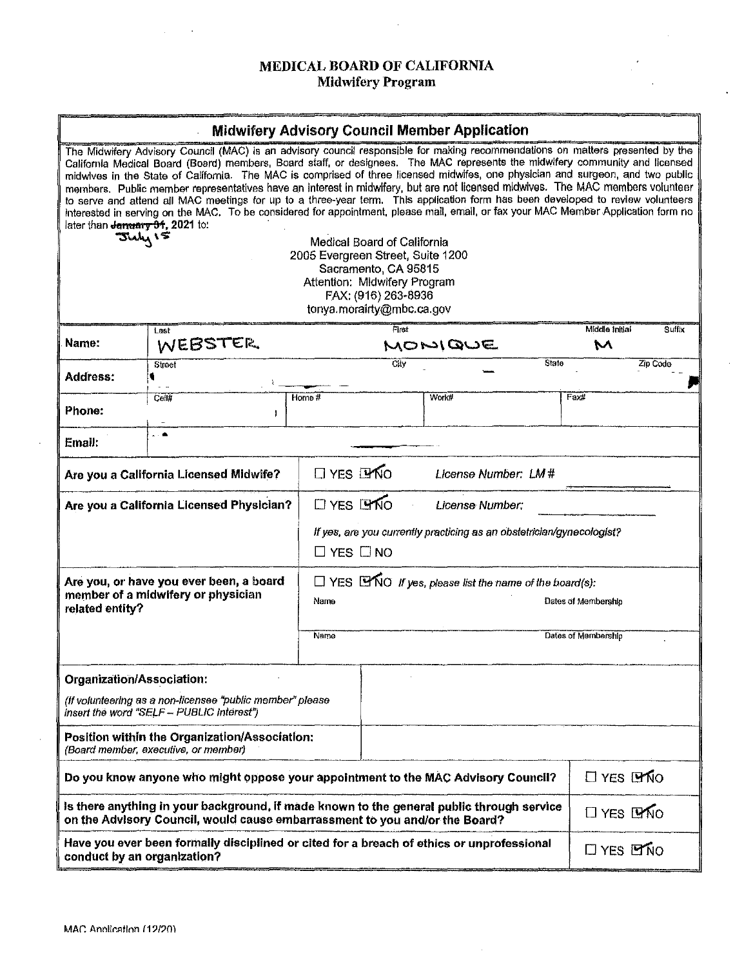# **MEDICAL BOARD OF CALIFORNIA Midwifery Program**

 $\sim$ 

## - - **Midwifery Advisory Council Member Application**

| later than Jamuary 91, 2021 to:                                                                                                                                                                                              | The Midwifery Advisory Council (MAC) is an advisory council responsible for making recommendations on matters presented by the<br>California Medical Board (Board) members, Board staff, or designees. The MAC represents the midwifery community and licensed<br>midwives in the State of California. The MAC is comprised of three licensed midwifes, one physician and surgeon, and two public<br>members. Public member representatives have an interest in midwifery, but are not licensed midwives. The MAC members volunteer<br>to serve and attend all MAC meetings for up to a three-year term. This application form has been developed to review volunteers<br>interested in serving on the MAC. To be considered for appointment, please mail, email, or fax your MAC Member Application form no<br>July 15<br>Last | 2006 Evergreen Street, Suite 1200         | Medical Board of California<br>Sacramento, CA 95815<br>Attention: Midwifery Program<br>FAX: (916) 263-8936<br>tonya.morairty@mbc.ca.gov<br>First |       |                 | Middle Initial       | Suffix                                     |  |
|------------------------------------------------------------------------------------------------------------------------------------------------------------------------------------------------------------------------------|---------------------------------------------------------------------------------------------------------------------------------------------------------------------------------------------------------------------------------------------------------------------------------------------------------------------------------------------------------------------------------------------------------------------------------------------------------------------------------------------------------------------------------------------------------------------------------------------------------------------------------------------------------------------------------------------------------------------------------------------------------------------------------------------------------------------------------|-------------------------------------------|--------------------------------------------------------------------------------------------------------------------------------------------------|-------|-----------------|----------------------|--------------------------------------------|--|
| Name:                                                                                                                                                                                                                        | WEBSTER                                                                                                                                                                                                                                                                                                                                                                                                                                                                                                                                                                                                                                                                                                                                                                                                                         |                                           | MOMIQUE                                                                                                                                          |       |                 | M                    |                                            |  |
| Address:                                                                                                                                                                                                                     | Street<br>۹                                                                                                                                                                                                                                                                                                                                                                                                                                                                                                                                                                                                                                                                                                                                                                                                                     |                                           | City                                                                                                                                             |       | State           |                      | Zip Code                                   |  |
| Phone:                                                                                                                                                                                                                       | Cell#                                                                                                                                                                                                                                                                                                                                                                                                                                                                                                                                                                                                                                                                                                                                                                                                                           | Home #                                    |                                                                                                                                                  | Work# |                 | Fax#                 |                                            |  |
| Email:                                                                                                                                                                                                                       |                                                                                                                                                                                                                                                                                                                                                                                                                                                                                                                                                                                                                                                                                                                                                                                                                                 |                                           |                                                                                                                                                  |       |                 |                      |                                            |  |
| Are you a California Licensed Midwife?                                                                                                                                                                                       |                                                                                                                                                                                                                                                                                                                                                                                                                                                                                                                                                                                                                                                                                                                                                                                                                                 | <b>O</b> YES LYNO<br>License Number: LM # |                                                                                                                                                  |       |                 |                      |                                            |  |
| Are you a California Licensed Physician?                                                                                                                                                                                     | $\Box$ YES $\Box$ NO<br>License Number:<br>If yes, are you currently practicing as an obstetrician/gynecologist?<br>$\Box$ YES $\Box$ NO                                                                                                                                                                                                                                                                                                                                                                                                                                                                                                                                                                                                                                                                                        |                                           |                                                                                                                                                  |       |                 |                      |                                            |  |
| Are you, or have you ever been, a board<br>member of a midwifery or physician<br>related entity?                                                                                                                             |                                                                                                                                                                                                                                                                                                                                                                                                                                                                                                                                                                                                                                                                                                                                                                                                                                 | Name<br>Name                              | $\Box$ YES $\Box$ NO <i>if yes, please list the name of the board(s)</i> :                                                                       |       |                 |                      | Dates of Membership<br>Dates of Membership |  |
| Organization/Association:<br>(If volunteering as a non-licensee "public member" please<br>Insert the word "SELF - PUBLIC Interest")<br>Position within the Organization/Association:<br>(Board member, executive, or member) |                                                                                                                                                                                                                                                                                                                                                                                                                                                                                                                                                                                                                                                                                                                                                                                                                                 |                                           |                                                                                                                                                  |       |                 |                      |                                            |  |
| Do you know anyone who might oppose your appointment to the MAC Advisory Council?                                                                                                                                            |                                                                                                                                                                                                                                                                                                                                                                                                                                                                                                                                                                                                                                                                                                                                                                                                                                 |                                           |                                                                                                                                                  |       | $\Box$ YES LYNO |                      |                                            |  |
| Is there anything in your background, if made known to the general public through service<br>on the Advisory Council, would cause embarrassment to you and/or the Board?                                                     |                                                                                                                                                                                                                                                                                                                                                                                                                                                                                                                                                                                                                                                                                                                                                                                                                                 |                                           |                                                                                                                                                  |       | $\Box$ YES LYNO |                      |                                            |  |
| Have you ever been formally disciplined or cited for a breach of ethics or unprofessional<br>conduct by an organization?                                                                                                     |                                                                                                                                                                                                                                                                                                                                                                                                                                                                                                                                                                                                                                                                                                                                                                                                                                 |                                           |                                                                                                                                                  |       |                 | $\Box$ YES $\Box$ NO |                                            |  |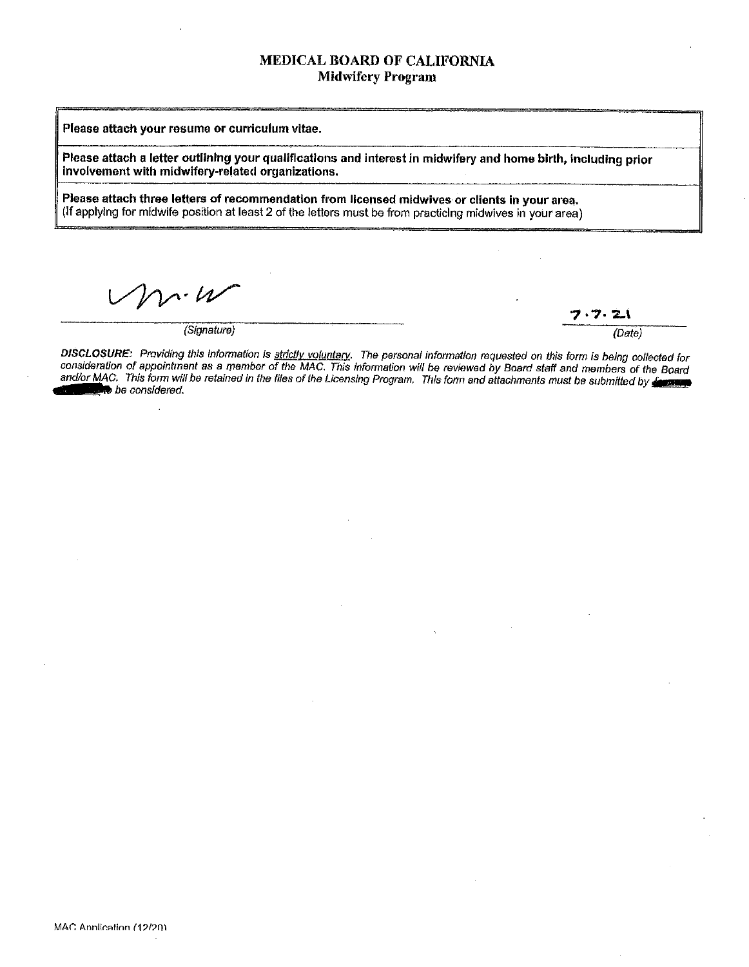## MEDICAL BOARD OF CALIFORNIA Midwifery Program

Please attach your resume or curriculum vitae.

**Please attach a letter outlining your qualifications and interest in midwifery and home birth, including prior involvement with midwifery-related organizations.** 

**Please attach three letters of recommendation from licensed midwives or clients in your area. (If** applying for midwife position at least 2 of the letters must be from practicing midwives in your area)

 $\mathcal{L} \cdot \mathcal{U}$ 

(Signature) (Date)

フ・フー

DISCLOSURE: Providing this information is strictly voluntary. The personal information requested on this form is being collected for consideration of appointment as a member of the MAC. This Information will be reviewed by Board staff and members of the Board and/or MAC. This form will be retained in the files of the Licensing Program. This form and attachments must be submitted by decrease be considered.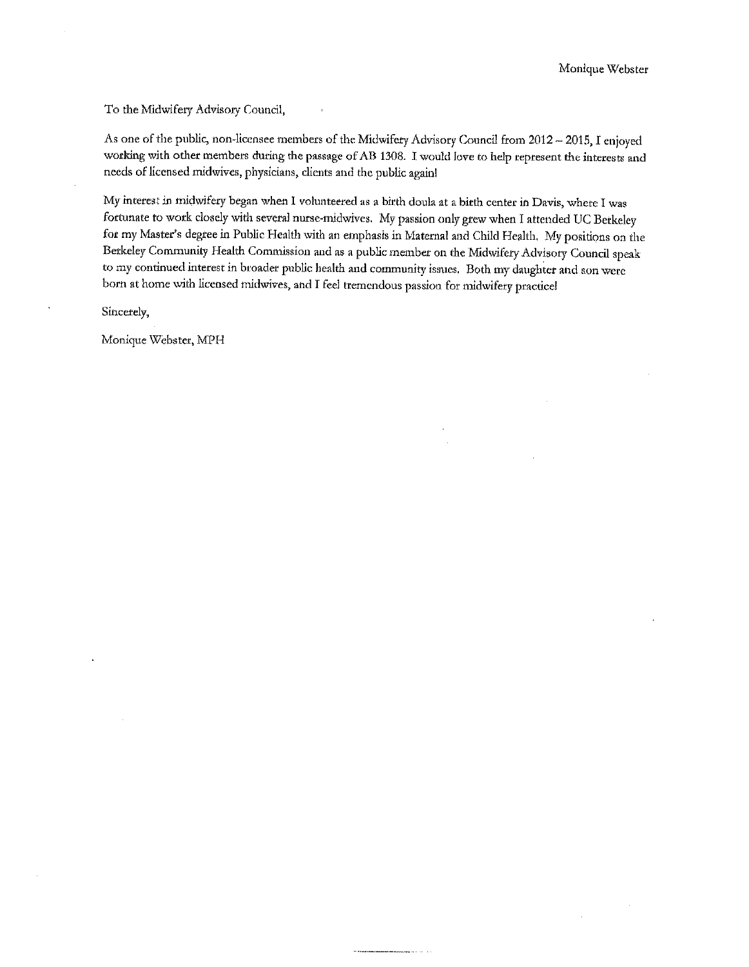To the Midwifery Advisory Council,

As one of the public, non-licensee members of the Midwifery Advisory Council from 2012 - 2015, I enjoyed working with other members during the passage of AB 1308. I would love to help represent the interests and needs of licensed midwives, physicians, clients and the public again!

My interest in midwifery began when I volunteered as a birth doula at a birth center in Davis, where I was fortunate to work closely with several nurse-midwives. My passion only grew when I attended UC Berkeley for my Master's degree in Public Health with an emphasis in Maternal and Child Health. My positions on the Berkeley Community Health Commission and as a public member on the Midwifery Advisory Council speak **to my continued interest in broader public health and community issues. Both my daughter and son were**  born at home with licensed midwives, and I feel tremendous passion for midwifery practicel

Sincerely,

Monique Webster, MPH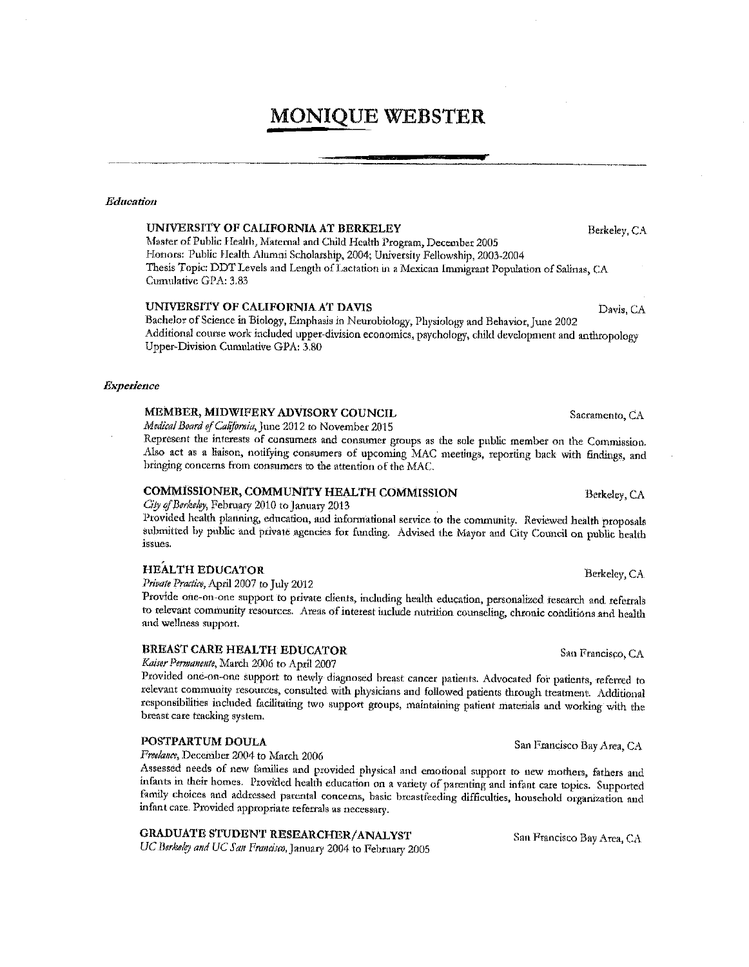# **MONIQUE WEBSTER**

#### Education

#### UNIVERSITY OF CALIFORNIA AT BERKELEY

Master of Public Health, Maternal and Child Health Program, December 2005 Honors: Public Health Alumni Scholarship, 2004; University Fellowship, 2003-2004 Thesis Topic: DDT Levels and Length of Lactation in a Mexican Immigrant Population of Salinas, CA Cumulative GPA: 3.83

#### UNIVERSITY OF CALIFORNIA AT DAVIS

Bachelor of Science in Biology, Emphasis in Neurobiology, Physiology and Behavior, June 2002 Additional course work included upper-division economics, psychology, child development and anthropology Upper-Division Cumulative GPA: 3,80

#### **Experience**

#### MEMBER, MIDWIFERY ADVISORY COUNCIL

Medical Board of California, June 2012 to November 2015

Represent the interests of consumers and consumer groups as the sole public member on the Commission. Also act as a liaison, notifying consumers of upcoming MAC meetings, reporting back with findings, and bringing concerns from consumers to the attention of the MAC.

#### COMMISSIONER, COMMUNITY HEALTH COMMISSION

City of Berkeley, February 2010 to January 2013

Provided health planning, education, and informational service to the community. Reviewed health proposals submitted by public and private agencies for funding. Advised the Mayor and City Council on public health issues.

#### **HEALTH EDUCATOR**

Private Practice, April 2007 to July 2012

Provide one-on-one support to private clients, including health education, personalized research and referrals to relevant community resources. Areas of interest include nutrition counseling, chronic conditions and health and wellness support.

## **BREAST CARE HEALTH EDUCATOR**

Kaiser Permanente, March 2006 to April 2007

Provided one-on-one support to newly diagnosed breast cancer patients. Advocated for patients, referred to relevant community resources, consulted with physicians and followed patients through treatment. Additional responsibilities included facilitating two support groups, maintaining patient materials and working with the breast care tracking system.

#### POSTPARTUM DOULA

Freelance, December 2004 to March 2006

Assessed needs of new families and provided physical and emotional support to new mothers, fathers and infants in their homes. Provided health education on a variety of parenting and infant care topics. Supported family choices and addressed parental concerns, basic breastfeeding difficulties, household organization and infant care. Provided appropriate referrals as necessary.

# GRADUATE STUDENT RESEARCHER/ANALYST

UC Berkeley and UC San Francisco, January 2004 to February 2005

Berkeley, CA

Davis, CA

Sacramento, CA

Berkeley, CA

Berkeley, CA

San Francisco, CA

San Francisco Bay Area, CA

San Francisco Bay Area, CA